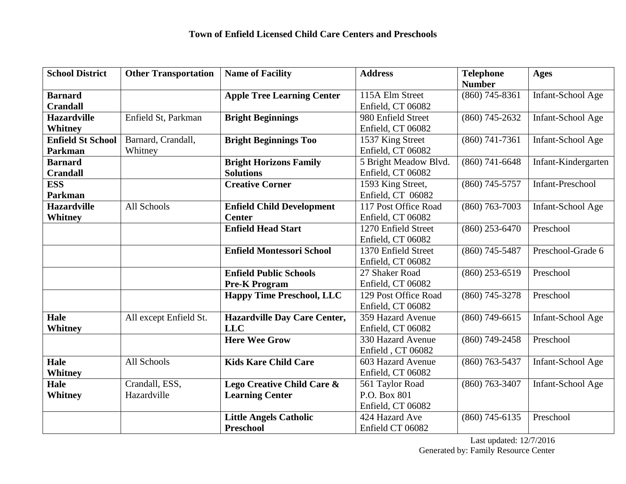| <b>School District</b>   | <b>Other Transportation</b> | <b>Name of Facility</b>             | <b>Address</b>        | <b>Telephone</b> | <b>Ages</b>             |
|--------------------------|-----------------------------|-------------------------------------|-----------------------|------------------|-------------------------|
|                          |                             |                                     |                       | <b>Number</b>    |                         |
| <b>Barnard</b>           |                             | <b>Apple Tree Learning Center</b>   | 115A Elm Street       | $(860)$ 745-8361 | Infant-School Age       |
| <b>Crandall</b>          |                             |                                     | Enfield, CT 06082     |                  |                         |
| <b>Hazardville</b>       | Enfield St, Parkman         | <b>Bright Beginnings</b>            | 980 Enfield Street    | $(860)$ 745-2632 | Infant-School Age       |
| Whitney                  |                             |                                     | Enfield, CT 06082     |                  |                         |
| <b>Enfield St School</b> | Barnard, Crandall,          | <b>Bright Beginnings Too</b>        | 1537 King Street      | $(860)$ 741-7361 | Infant-School Age       |
| <b>Parkman</b>           | Whitney                     |                                     | Enfield, CT 06082     |                  |                         |
| <b>Barnard</b>           |                             | <b>Bright Horizons Family</b>       | 5 Bright Meadow Blvd. | $(860)$ 741-6648 | Infant-Kindergarten     |
| <b>Crandall</b>          |                             | <b>Solutions</b>                    | Enfield, CT 06082     |                  |                         |
| <b>ESS</b>               |                             | <b>Creative Corner</b>              | 1593 King Street,     | $(860)$ 745-5757 | <b>Infant-Preschool</b> |
| <b>Parkman</b>           |                             |                                     | Enfield, CT 06082     |                  |                         |
| <b>Hazardville</b>       | All Schools                 | <b>Enfield Child Development</b>    | 117 Post Office Road  | $(860)$ 763-7003 | Infant-School Age       |
| <b>Whitney</b>           |                             | <b>Center</b>                       | Enfield, CT 06082     |                  |                         |
|                          |                             | <b>Enfield Head Start</b>           | 1270 Enfield Street   | $(860)$ 253-6470 | Preschool               |
|                          |                             |                                     | Enfield, CT 06082     |                  |                         |
|                          |                             | <b>Enfield Montessori School</b>    | 1370 Enfield Street   | $(860)$ 745-5487 | Preschool-Grade 6       |
|                          |                             |                                     | Enfield, CT 06082     |                  |                         |
|                          |                             | <b>Enfield Public Schools</b>       | 27 Shaker Road        | $(860)$ 253-6519 | Preschool               |
|                          |                             | <b>Pre-K Program</b>                | Enfield, CT 06082     |                  |                         |
|                          |                             | <b>Happy Time Preschool, LLC</b>    | 129 Post Office Road  | $(860)$ 745-3278 | Preschool               |
|                          |                             |                                     | Enfield, CT 06082     |                  |                         |
| Hale                     | All except Enfield St.      | <b>Hazardville Day Care Center,</b> | 359 Hazard Avenue     | $(860)$ 749-6615 | Infant-School Age       |
| <b>Whitney</b>           |                             | <b>LLC</b>                          | Enfield, CT 06082     |                  |                         |
|                          |                             | <b>Here Wee Grow</b>                | 330 Hazard Avenue     | $(860)$ 749-2458 | Preschool               |
|                          |                             |                                     | Enfield, CT 06082     |                  |                         |
| Hale                     | All Schools                 | <b>Kids Kare Child Care</b>         | 603 Hazard Avenue     | $(860)$ 763-5437 | Infant-School Age       |
| <b>Whitney</b>           |                             |                                     | Enfield, CT 06082     |                  |                         |
| Hale                     | Crandall, ESS,              | Lego Creative Child Care &          | 561 Taylor Road       | $(860)$ 763-3407 | Infant-School Age       |
| Whitney                  | Hazardville                 | <b>Learning Center</b>              | P.O. Box 801          |                  |                         |
|                          |                             |                                     | Enfield, CT 06082     |                  |                         |
|                          |                             | <b>Little Angels Catholic</b>       | 424 Hazard Ave        | $(860)$ 745-6135 | Preschool               |
|                          |                             | <b>Preschool</b>                    | Enfield CT 06082      |                  |                         |

Last updated: 12/7/2016 Generated by: Family Resource Center